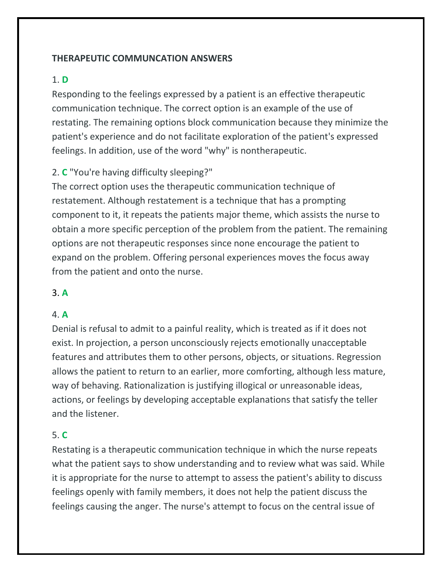### **THERAPEUTIC COMMUNCATION ANSWERS**

### 1. **D**

Responding to the feelings expressed by a patient is an effective therapeutic communication technique. The correct option is an example of the use of restating. The remaining options block communication because they minimize the patient's experience and do not facilitate exploration of the patient's expressed feelings. In addition, use of the word "why" is nontherapeutic.

## 2. **C** "You're having difficulty sleeping?"

The correct option uses the therapeutic communication technique of restatement. Although restatement is a technique that has a prompting component to it, it repeats the patients major theme, which assists the nurse to obtain a more specific perception of the problem from the patient. The remaining options are not therapeutic responses since none encourage the patient to expand on the problem. Offering personal experiences moves the focus away from the patient and onto the nurse.

## 3. **A**

## 4. **A**

Denial is refusal to admit to a painful reality, which is treated as if it does not exist. In projection, a person unconsciously rejects emotionally unacceptable features and attributes them to other persons, objects, or situations. Regression allows the patient to return to an earlier, more comforting, although less mature, way of behaving. Rationalization is justifying illogical or unreasonable ideas, actions, or feelings by developing acceptable explanations that satisfy the teller and the listener.

## 5. **C**

Restating is a therapeutic communication technique in which the nurse repeats what the patient says to show understanding and to review what was said. While it is appropriate for the nurse to attempt to assess the patient's ability to discuss feelings openly with family members, it does not help the patient discuss the feelings causing the anger. The nurse's attempt to focus on the central issue of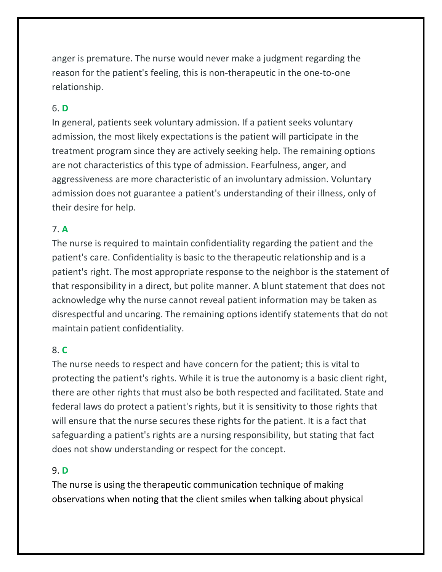anger is premature. The nurse would never make a judgment regarding the reason for the patient's feeling, this is non-therapeutic in the one-to-one relationship.

## 6. **D**

In general, patients seek voluntary admission. If a patient seeks voluntary admission, the most likely expectations is the patient will participate in the treatment program since they are actively seeking help. The remaining options are not characteristics of this type of admission. Fearfulness, anger, and aggressiveness are more characteristic of an involuntary admission. Voluntary admission does not guarantee a patient's understanding of their illness, only of their desire for help.

## 7. **A**

The nurse is required to maintain confidentiality regarding the patient and the patient's care. Confidentiality is basic to the therapeutic relationship and is a patient's right. The most appropriate response to the neighbor is the statement of that responsibility in a direct, but polite manner. A blunt statement that does not acknowledge why the nurse cannot reveal patient information may be taken as disrespectful and uncaring. The remaining options identify statements that do not maintain patient confidentiality.

## 8. **C**

The nurse needs to respect and have concern for the patient; this is vital to protecting the patient's rights. While it is true the autonomy is a basic client right, there are other rights that must also be both respected and facilitated. State and federal laws do protect a patient's rights, but it is sensitivity to those rights that will ensure that the nurse secures these rights for the patient. It is a fact that safeguarding a patient's rights are a nursing responsibility, but stating that fact does not show understanding or respect for the concept.

## 9. **D**

The nurse is using the therapeutic communication technique of making observations when noting that the client smiles when talking about physical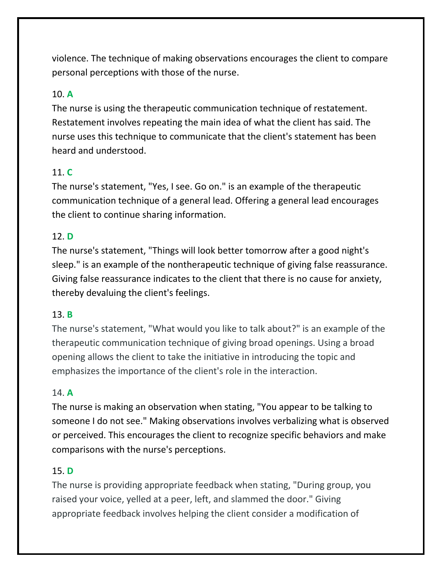violence. The technique of making observations encourages the client to compare personal perceptions with those of the nurse.

# 10. **A**

The nurse is using the therapeutic communication technique of restatement. Restatement involves repeating the main idea of what the client has said. The nurse uses this technique to communicate that the client's statement has been heard and understood.

## 11. **C**

The nurse's statement, "Yes, I see. Go on." is an example of the therapeutic communication technique of a general lead. Offering a general lead encourages the client to continue sharing information.

## 12. **D**

The nurse's statement, "Things will look better tomorrow after a good night's sleep." is an example of the nontherapeutic technique of giving false reassurance. Giving false reassurance indicates to the client that there is no cause for anxiety, thereby devaluing the client's feelings.

## 13. **B**

The nurse's statement, "What would you like to talk about?" is an example of the therapeutic communication technique of giving broad openings. Using a broad opening allows the client to take the initiative in introducing the topic and emphasizes the importance of the client's role in the interaction.

## 14. **A**

The nurse is making an observation when stating, "You appear to be talking to someone I do not see." Making observations involves verbalizing what is observed or perceived. This encourages the client to recognize specific behaviors and make comparisons with the nurse's perceptions.

## 15. **D**

The nurse is providing appropriate feedback when stating, "During group, you raised your voice, yelled at a peer, left, and slammed the door." Giving appropriate feedback involves helping the client consider a modification of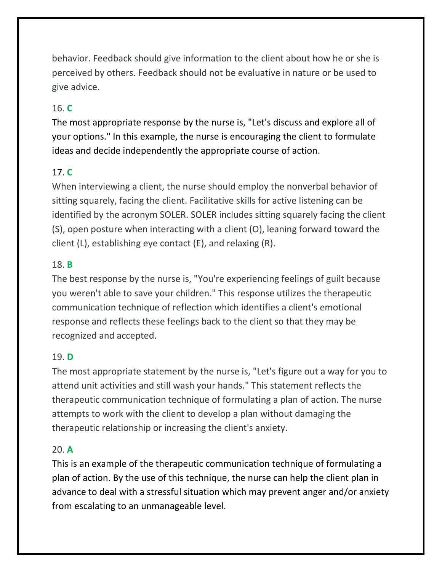behavior. Feedback should give information to the client about how he or she is perceived by others. Feedback should not be evaluative in nature or be used to give advice.

# 16. **C**

The most appropriate response by the nurse is, "Let's discuss and explore all of your options." In this example, the nurse is encouraging the client to formulate ideas and decide independently the appropriate course of action.

## 17. **C**

When interviewing a client, the nurse should employ the nonverbal behavior of sitting squarely, facing the client. Facilitative skills for active listening can be identified by the acronym SOLER. SOLER includes sitting squarely facing the client (S), open posture when interacting with a client (O), leaning forward toward the client (L), establishing eye contact (E), and relaxing (R).

### 18. **B**

The best response by the nurse is, "You're experiencing feelings of guilt because you weren't able to save your children." This response utilizes the therapeutic communication technique of reflection which identifies a client's emotional response and reflects these feelings back to the client so that they may be recognized and accepted.

#### 19. **D**

The most appropriate statement by the nurse is, "Let's figure out a way for you to attend unit activities and still wash your hands." This statement reflects the therapeutic communication technique of formulating a plan of action. The nurse attempts to work with the client to develop a plan without damaging the therapeutic relationship or increasing the client's anxiety.

#### 20. **A**

This is an example of the therapeutic communication technique of formulating a plan of action. By the use of this technique, the nurse can help the client plan in advance to deal with a stressful situation which may prevent anger and/or anxiety from escalating to an unmanageable level.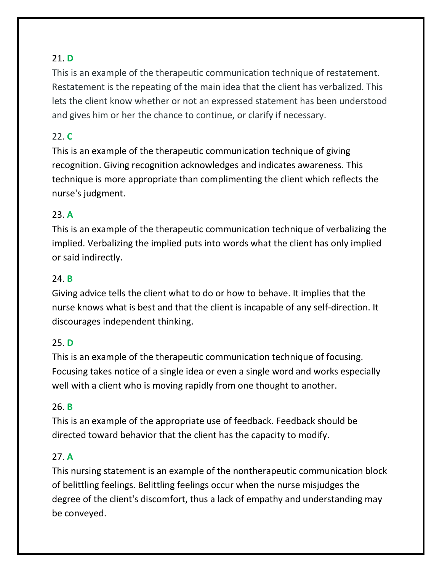# 21. **D**

This is an example of the therapeutic communication technique of restatement. Restatement is the repeating of the main idea that the client has verbalized. This lets the client know whether or not an expressed statement has been understood and gives him or her the chance to continue, or clarify if necessary.

## 22. **C**

This is an example of the therapeutic communication technique of giving recognition. Giving recognition acknowledges and indicates awareness. This technique is more appropriate than complimenting the client which reflects the nurse's judgment.

## 23. **A**

This is an example of the therapeutic communication technique of verbalizing the implied. Verbalizing the implied puts into words what the client has only implied or said indirectly.

## 24. **B**

Giving advice tells the client what to do or how to behave. It implies that the nurse knows what is best and that the client is incapable of any self-direction. It discourages independent thinking.

#### 25. **D**

This is an example of the therapeutic communication technique of focusing. Focusing takes notice of a single idea or even a single word and works especially well with a client who is moving rapidly from one thought to another.

#### 26. **B**

This is an example of the appropriate use of feedback. Feedback should be directed toward behavior that the client has the capacity to modify.

## 27. **A**

This nursing statement is an example of the nontherapeutic communication block of belittling feelings. Belittling feelings occur when the nurse misjudges the degree of the client's discomfort, thus a lack of empathy and understanding may be conveyed.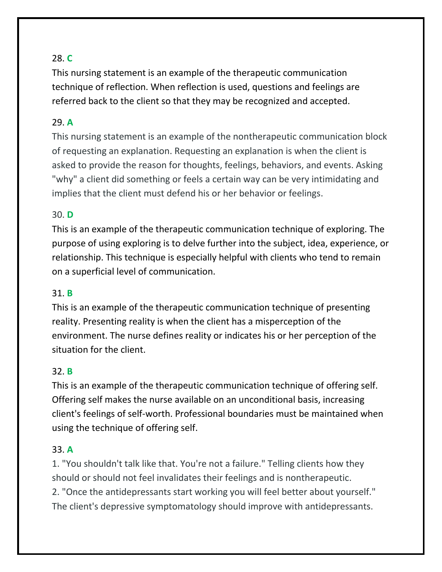## 28. **C**

This nursing statement is an example of the therapeutic communication technique of reflection. When reflection is used, questions and feelings are referred back to the client so that they may be recognized and accepted.

### 29. **A**

This nursing statement is an example of the nontherapeutic communication block of requesting an explanation. Requesting an explanation is when the client is asked to provide the reason for thoughts, feelings, behaviors, and events. Asking "why" a client did something or feels a certain way can be very intimidating and implies that the client must defend his or her behavior or feelings.

### 30. **D**

This is an example of the therapeutic communication technique of exploring. The purpose of using exploring is to delve further into the subject, idea, experience, or relationship. This technique is especially helpful with clients who tend to remain on a superficial level of communication.

#### 31. **B**

This is an example of the therapeutic communication technique of presenting reality. Presenting reality is when the client has a misperception of the environment. The nurse defines reality or indicates his or her perception of the situation for the client.

#### 32. **B**

This is an example of the therapeutic communication technique of offering self. Offering self makes the nurse available on an unconditional basis, increasing client's feelings of self-worth. Professional boundaries must be maintained when using the technique of offering self.

#### 33. **A**

1. "You shouldn't talk like that. You're not a failure." Telling clients how they should or should not feel invalidates their feelings and is nontherapeutic. 2. "Once the antidepressants start working you will feel better about yourself." The client's depressive symptomatology should improve with antidepressants.